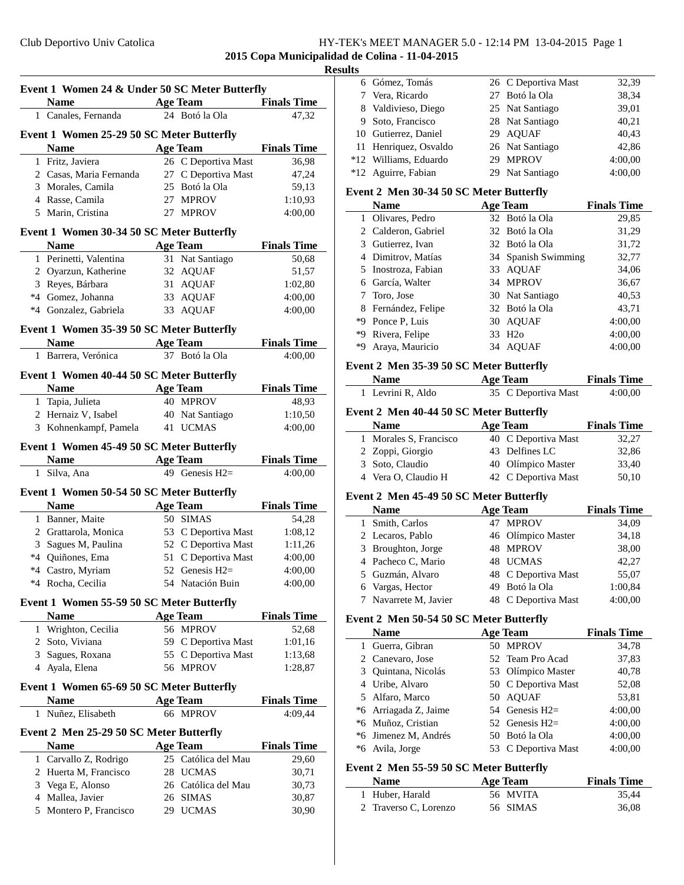### Club Deportivo Univ Catolica HY-TEK's MEET MANAGER 5.0 - 12:14 PM 13-04-2015 Page 1

## **2015 Copa Municipalidad de Colina - 11-04-2015**

## **Results**

| Event 1 Women 24 & Under 50 SC Meter Butterfly |                                                   |    |                     |                    |
|------------------------------------------------|---------------------------------------------------|----|---------------------|--------------------|
|                                                | <b>Name</b>                                       |    | <b>Age Team</b>     | <b>Finals Time</b> |
|                                                | 1 Canales, Fernanda                               |    | 24 Botó la Ola      | 47,32              |
|                                                | Event 1 Women 25-29 50 SC Meter Butterfly         |    |                     |                    |
|                                                | <b>Name</b>                                       |    | <b>Age Team</b>     | <b>Finals Time</b> |
|                                                | 1 Fritz, Javiera                                  |    | 26 C Deportiva Mast | 36,98              |
|                                                | 2 Casas, Maria Fernanda                           |    | 27 C Deportiva Mast | 47,24              |
|                                                | 3 Morales, Camila                                 |    | 25 Botó la Ola      | 59,13              |
|                                                | 4 Rasse, Camila                                   |    | 27 MPROV            | 1:10,93            |
|                                                | 5 Marin, Cristina                                 |    | 27 MPROV            | 4:00,00            |
|                                                | Event 1 Women 30-34 50 SC Meter Butterfly         |    |                     |                    |
|                                                | <b>Name</b>                                       |    | <b>Age Team</b>     | <b>Finals Time</b> |
|                                                | 1 Perinetti, Valentina                            |    | 31 Nat Santiago     | 50,68              |
|                                                | 2 Oyarzun, Katherine                              |    | 32 AQUAF            | 51,57              |
|                                                | 3 Reyes, Bárbara                                  |    | 31 AQUAF            | 1:02,80            |
|                                                | *4 Gomez, Johanna                                 |    | 33 AQUAF            | 4:00,00            |
|                                                | *4 Gonzalez, Gabriela                             |    | 33 AQUAF            | 4:00,00            |
|                                                |                                                   |    |                     |                    |
|                                                | Event 1 Women 35-39 50 SC Meter Butterfly         |    |                     |                    |
|                                                | <b>Name</b>                                       |    | <b>Age Team</b>     | <b>Finals Time</b> |
|                                                | 1 Barrera, Verónica                               |    | 37 Botó la Ola      | 4:00,00            |
|                                                | Event 1 Women 40-44 50 SC Meter Butterfly         |    |                     |                    |
|                                                | Name                                              |    | <b>Age Team</b>     | <b>Finals Time</b> |
|                                                | 1 Tapia, Julieta                                  |    | 40 MPROV            | 48,93              |
|                                                | 2 Hernaiz V, Isabel                               |    | 40 Nat Santiago     | 1:10,50            |
|                                                | 3 Kohnenkampf, Pamela                             | 41 | <b>UCMAS</b>        | 4:00,00            |
|                                                | Event 1 Women 45-49 50 SC Meter Butterfly         |    |                     |                    |
|                                                | Name $\qquad \qquad$                              |    | <b>Age Team</b>     | <b>Finals Time</b> |
|                                                | 1 Silva, Ana                                      |    | 49 Genesis $H2=$    | 4:00,00            |
|                                                |                                                   |    |                     |                    |
|                                                | Event 1 Women 50-54 50 SC Meter Butterfly<br>Name |    | <b>Age Team</b>     | <b>Finals Time</b> |
|                                                | 1 Banner, Maite                                   |    | 50 SIMAS            | 54,28              |
|                                                | 2 Grattarola, Monica                              |    | 53 C Deportiva Mast | 1:08,12            |
|                                                | 3 Sagues M, Paulina                               |    | 52 C Deportiva Mast | 1:11,26            |
|                                                | *4 Quiñones, Ema                                  |    |                     |                    |
|                                                |                                                   |    |                     |                    |
|                                                |                                                   |    | 51 C Deportiva Mast | 4:00,00            |
|                                                | *4 Castro, Myriam                                 |    | 52 Genesis $H2=$    | 4:00,00            |
| *4                                             | Rocha, Cecilia                                    |    | 54 Natación Buin    | 4:00,00            |
|                                                | Event 1 Women 55-59 50 SC Meter Butterfly         |    |                     |                    |
|                                                | <b>Name</b>                                       |    | <b>Age Team</b>     | <b>Finals Time</b> |
| 1                                              | Wrighton, Cecilia                                 |    | 56 MPROV            | 52,68              |
|                                                | 2 Soto, Viviana                                   |    | 59 C Deportiva Mast | 1:01,16            |
|                                                | 3 Sagues, Roxana                                  |    | 55 C Deportiva Mast | 1:13,68            |
|                                                | 4 Ayala, Elena                                    |    | 56 MPROV            | 1:28,87            |
|                                                | Event 1 Women 65-69 50 SC Meter Butterfly         |    |                     |                    |
|                                                | <b>Name</b>                                       |    | <b>Age Team</b>     | <b>Finals Time</b> |
| 1                                              | Nuñez, Elisabeth                                  |    | 66 MPROV            | 4:09,44            |
|                                                |                                                   |    |                     |                    |
|                                                | Event 2 Men 25-29 50 SC Meter Butterfly           |    |                     |                    |
|                                                | Name                                              |    | <b>Age Team</b>     | <b>Finals Time</b> |
|                                                | 1 Carvallo Z, Rodrigo                             |    | 25 Católica del Mau | 29,60              |
|                                                | 2 Huerta M, Francisco                             |    | 28 UCMAS            | 30,71              |
|                                                | 3 Vega E, Alonso                                  |    | 26 Católica del Mau | 30,73              |
|                                                | 4 Mallea, Javier                                  |    | 26 SIMAS            | 30,87              |
| 5                                              | Montero P, Francisco                              |    | 29 UCMAS            | 30,90              |

| 6 Gómez, Tomás        | 26 C Deportiva Mast | 32,39   |
|-----------------------|---------------------|---------|
| 7 Vera, Ricardo       | 27 Botó la Ola      | 38.34   |
| 8 Valdivieso, Diego   | 25 Nat Santiago     | 39,01   |
| 9 Soto, Francisco     | 28 Nat Santiago     | 40,21   |
| 10 Gutierrez, Daniel  | 29 AOUAF            | 40,43   |
| 11 Henriquez, Osvaldo | 26 Nat Santiago     | 42.86   |
| *12 Williams, Eduardo | 29 MPROV            | 4:00,00 |
| *12 Aguirre, Fabian   | 29 Nat Santiago     | 4:00.00 |
|                       |                     |         |

### **Event 2 Men 30-34 50 SC Meter Butterfly**

|    | Name                |    | <b>Age Team</b>     | <b>Finals Time</b> |
|----|---------------------|----|---------------------|--------------------|
|    | 1 Olivares, Pedro   |    | 32 Botó la Ola      | 29,85              |
|    | 2 Calderon, Gabriel |    | 32 Botó la Ola      | 31,29              |
|    | 3 Gutierrez, Ivan   |    | 32 Botó la Ola      | 31,72              |
|    | 4 Dimitrov, Matías  |    | 34 Spanish Swimming | 32,77              |
|    | 5 Inostroza, Fabian |    | 33 AQUAF            | 34,06              |
|    | 6 García, Walter    |    | 34 MPROV            | 36,67              |
|    | 7 Toro, Jose        |    | 30 Nat Santiago     | 40,53              |
|    | 8 Fernández, Felipe |    | 32 Botó la Ola      | 43,71              |
|    | *9 Ponce P, Luis    |    | 30 AQUAF            | 4:00,00            |
| *9 | Rivera, Felipe      | 33 | H2o                 | 4:00,00            |
| *Q | Araya, Mauricio     | 34 | <b>AOUAF</b>        | 4:00.00            |

### **Event 2 Men 35-39 50 SC Meter Butterfly**

| <b>Name</b>       | Age Team            | <b>Finals Time</b> |
|-------------------|---------------------|--------------------|
| 1 Levrini R, Aldo | 35 C Deportiva Mast | 4:00,00            |

### **Event 2 Men 40-44 50 SC Meter Butterfly**

| <b>Name</b>            | <b>Age Team</b>     | <b>Finals Time</b> |
|------------------------|---------------------|--------------------|
| 1 Morales S, Francisco | 40 C Deportiva Mast | 32.27              |
| 2 Zoppi, Giorgio       | 43 Delfines LC      | 32,86              |
| 3 Soto, Claudio        | 40 Olímpico Master  | 33.40              |
| 4 Vera O, Claudio H    | 42 C Deportiva Mast | 50,10              |

#### **Event 2 Men 45-49 50 SC Meter Butterfly**

| <b>Name</b>           | <b>Age Team</b>     | <b>Finals Time</b> |
|-----------------------|---------------------|--------------------|
| 1 Smith, Carlos       | 47 MPROV            | 34,09              |
| 2 Lecaros, Pablo      | 46 Olímpico Master  | 34,18              |
| 3 Broughton, Jorge    | 48 MPROV            | 38,00              |
| 4 Pacheco C, Mario    | 48 UCMAS            | 42,27              |
| 5 Guzmán, Alvaro      | 48 C Deportiva Mast | 55,07              |
| 6 Vargas, Hector      | 49 Botó la Ola      | 1:00.84            |
| 7 Navarrete M, Javier | 48 C Deportiva Mast | 4:00,00            |

#### **Event 2 Men 50-54 50 SC Meter Butterfly**

|    | <b>Name</b>           | <b>Age Team</b>     | <b>Finals Time</b> |
|----|-----------------------|---------------------|--------------------|
|    | 1 Guerra, Gibran      | 50 MPROV            | 34,78              |
|    | 2 Canevaro, Jose      | 52 Team Pro Acad    | 37,83              |
|    | 3 Ouintana, Nicolás   | 53 Olímpico Master  | 40,78              |
|    | 4 Uribe, Alvaro       | 50 C Deportiva Mast | 52,08              |
|    | 5 Alfaro, Marco       | 50 AOUAF            | 53,81              |
|    | *6 Arriagada Z, Jaime | 54 Genesis $H2=$    | 4:00,00            |
|    | *6 Muñoz, Cristian    | 52 Genesis $H2=$    | 4:00,00            |
|    | *6 Jimenez M, Andrés  | 50 Botó la Ola      | 4:00,00            |
| *6 | Avila, Jorge          | 53 C Deportiva Mast | 4:00,00            |

### **Event 2 Men 55-59 50 SC Meter Butterfly**

| <b>Name</b>           | Age Team | <b>Finals Time</b> |
|-----------------------|----------|--------------------|
| 1 Huber, Harald       | 56 MVITA | 35.44              |
| 2 Traverso C, Lorenzo | 56 SIMAS | 36.08              |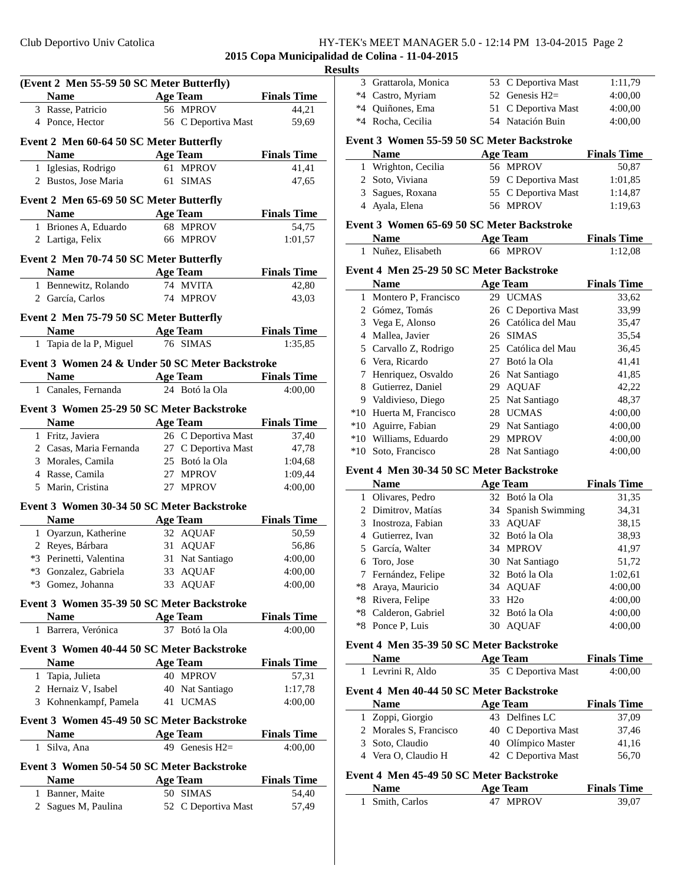# Club Deportivo Univ Catolica HY-TEK's MEET MANAGER 5.0 - 12:14 PM 13-04-2015 Page 2

# **2015 Copa Municipalidad de Colina - 11-04-2015**

|   |                                                 |    |                     | R                  |
|---|-------------------------------------------------|----|---------------------|--------------------|
|   | (Event 2 Men 55-59 50 SC Meter Butterfly)       |    |                     |                    |
|   | <b>Name</b>                                     |    | <b>Age Team</b>     | <b>Finals Time</b> |
|   | 3 Rasse, Patricio                               |    | 56 MPROV            | 44,21              |
|   | 4 Ponce, Hector                                 |    | 56 C Deportiva Mast | 59,69              |
|   | Event 2 Men 60-64 50 SC Meter Butterfly         |    |                     |                    |
|   | <b>Name</b>                                     |    | <b>Age Team</b>     | <b>Finals Time</b> |
|   | 1 Iglesias, Rodrigo                             |    | 61 MPROV            | 41,41              |
|   | 2 Bustos, Jose Maria                            |    | 61 SIMAS            | 47,65              |
|   | Event 2 Men 65-69 50 SC Meter Butterfly         |    |                     |                    |
|   | <b>Name</b>                                     |    | <b>Age Team</b>     | <b>Finals Time</b> |
|   | 1 Briones A, Eduardo                            |    | 68 MPROV            | 54,75              |
|   | 2 Lartiga, Felix                                |    | 66 MPROV            | 1:01,57            |
|   | Event 2 Men 70-74 50 SC Meter Butterfly         |    |                     |                    |
|   | <b>Name</b>                                     |    | <b>Age Team</b>     | <b>Finals Time</b> |
|   | 1 Bennewitz, Rolando                            |    | 74 MVITA            | 42,80              |
|   | 2 García, Carlos                                |    | 74 MPROV            | 43,03              |
|   | Event 2 Men 75-79 50 SC Meter Butterfly         |    |                     |                    |
|   | <b>Name</b>                                     |    | <b>Age Team</b>     | <b>Finals Time</b> |
| 1 | Tapia de la P, Miguel                           |    | 76 SIMAS            | 1:35,85            |
|   | Event 3 Women 24 & Under 50 SC Meter Backstroke |    |                     |                    |
|   | <b>Name</b>                                     |    | <b>Age Team</b>     | <b>Finals Time</b> |
|   | 1 Canales, Fernanda                             |    | 24 Botó la Ola      | 4:00,00            |
|   | Event 3 Women 25-29 50 SC Meter Backstroke      |    |                     |                    |
|   | <b>Name</b>                                     |    | Age Team            | <b>Finals Time</b> |
|   | 1 Fritz, Javiera                                |    | 26 C Deportiva Mast | 37,40              |
|   | 2 Casas, Maria Fernanda                         |    | 27 C Deportiva Mast | 47,78              |
|   | 3 Morales, Camila                               |    | 25 Botó la Ola      | 1:04,68            |
|   | 4 Rasse, Camila                                 |    | 27 MPROV            | 1:09,44            |
|   | 5 Marin, Cristina                               |    | 27 MPROV            | 4:00,00            |
|   | Event 3 Women 30-34 50 SC Meter Backstroke      |    |                     |                    |
|   | <b>Name</b>                                     |    | <b>Age Team</b>     | <b>Finals Time</b> |
| 1 | Oyarzun, Katherine                              |    | 32 AQUAF            | 50,59              |
|   | 2 Reyes, Bárbara                                |    | 31 AQUAF            | 56,86              |
|   | *3 Perinetti, Valentina                         | 31 | Nat Santiago        | 4:00,00            |
|   | *3 Gonzalez, Gabriela                           |    | 33 AQUAF            | 4:00,00            |
|   | *3 Gomez, Johanna                               | 33 | <b>AQUAF</b>        | 4:00,00            |
|   | Event 3 Women 35-39 50 SC Meter Backstroke      |    |                     |                    |
|   | Name                                            |    | <b>Age Team</b>     | <b>Finals Time</b> |
| 1 | Barrera, Verónica                               |    | 37 Botó la Ola      | 4:00,00            |
|   | Event 3 Women 40-44 50 SC Meter Backstroke      |    |                     |                    |
|   | <b>Name</b>                                     |    | <b>Age Team</b>     | <b>Finals Time</b> |
|   | 1 Tapia, Julieta                                |    | 40 MPROV            | 57,31              |
|   | 2 Hernaiz V, Isabel                             |    | 40 Nat Santiago     | 1:17,78            |
| 3 | Kohnenkampf, Pamela                             |    | 41 UCMAS            | 4:00,00            |
|   | Event 3 Women 45-49 50 SC Meter Backstroke      |    |                     |                    |
|   | Name                                            |    | Age Team            | <b>Finals Time</b> |
| 1 | Silva, Ana                                      |    | 49 Genesis H2=      | 4:00,00            |
|   | Event 3 Women 50-54 50 SC Meter Backstroke      |    |                     |                    |
|   | Name                                            |    | <b>Age Team</b>     | <b>Finals Time</b> |
| 1 | Banner, Maite                                   |    | 50 SIMAS            | 54,40              |
| 2 | Sagues M, Paulina                               |    | 52 C Deportiva Mast | 57,49              |
|   |                                                 |    |                     |                    |

| esults |                                            |    |                     |                    |
|--------|--------------------------------------------|----|---------------------|--------------------|
| 3      | Grattarola, Monica                         | 53 | C Deportiva Mast    | 1:11,79            |
|        | *4 Castro, Myriam                          | 52 | Genesis $H2=$       | 4:00,00            |
|        | *4 Quiñones, Ema                           | 51 | C Deportiva Mast    | 4:00,00            |
|        | *4 Rocha, Cecilia                          |    | 54 Natación Buin    | 4:00,00            |
|        | Event 3 Women 55-59 50 SC Meter Backstroke |    |                     |                    |
|        | <b>Name</b>                                |    | <b>Age Team</b>     | <b>Finals Time</b> |
|        | 1 Wrighton, Cecilia                        |    | 56 MPROV            | 50,87              |
|        | 2 Soto, Viviana                            |    | 59 C Deportiva Mast | 1:01,85            |
|        | 3 Sagues, Roxana                           |    | 55 C Deportiva Mast | 1:14,87            |
|        | 4 Ayala, Elena                             |    | 56 MPROV            | 1:19.63            |
|        | Event 3 Women 65-69 50 SC Meter Backstroke |    |                     |                    |
|        | <b>Name</b>                                |    | <b>Age Team</b>     | <b>Finals Time</b> |
|        | 1 Nuñez, Elisabeth                         |    | 66 MPROV            | 1:12,08            |
|        | Event 4 Men 25-29 50 SC Meter Backstroke   |    |                     |                    |
|        | <b>Name</b>                                |    | <b>Age Team</b>     | <b>Finals Time</b> |
|        | 1 Montero P, Francisco                     |    | 29 UCMAS            | 33,62              |
|        | 2 Gómez, Tomás                             |    | 26 C Deportiva Mast | 33,99              |
|        | 3 Vega E, Alonso                           |    | 26 Católica del Mau | 35,47              |
|        | 4 Mallea, Javier                           |    | 26 SIMAS            | 35,54              |
|        | 5 Carvallo Z, Rodrigo                      |    | 25 Católica del Mau | 36,45              |
|        | 6 Vera, Ricardo                            |    | 27 Botó la Ola      | 41,41              |
|        | 7 Henriquez, Osvaldo                       |    | 26 Nat Santiago     | 41,85              |
|        | 8 Gutierrez, Daniel                        |    | 29 AQUAF            | 42,22              |
|        | 9 Valdivieso, Diego                        |    | 25 Nat Santiago     | 48,37              |
|        | *10 Huerta M, Francisco                    |    | 28 UCMAS            | 4:00,00            |
|        | *10 Aguirre, Fabian                        |    | 29 Nat Santiago     | 4:00,00            |
|        | *10 Williams, Eduardo                      |    | 29 MPROV            | 4:00,00            |
|        | *10 Soto, Francisco                        | 28 | Nat Santiago        | 4:00,00            |
|        | Event 4 Men 30-34 50 SC Meter Backstroke   |    |                     |                    |
|        | <b>Name</b>                                |    | <b>Age Team</b>     | <b>Finals Time</b> |
|        | 1 Olivares, Pedro                          |    | 32 Botó la Ola      | 31,35              |
|        | 2 Dimitrov, Matías                         | 34 | Spanish Swimming    | 34,31              |
|        | 3 Inostroza, Fabian                        |    | 33 AQUAF            | 38,15              |
|        | 4 Gutierrez, Ivan                          |    | 32 Botó la Ola      | 38,93              |
|        | 5 García, Walter                           |    | 34 MPROV            | 41,97              |
|        | 6 Toro, Jose                               |    | 30 Nat Santiago     | 51,72              |
| 7      | Fernández, Felipe                          |    | 32 Botó la Ola      | 1:02,61            |
|        |                                            |    |                     |                    |

| 1 Olivares, Pedro    | 32 Botó la Ola      | 31,35   |
|----------------------|---------------------|---------|
| 2 Dimitrov, Matías   | 34 Spanish Swimming | 34,31   |
| 3 Inostroza, Fabian  | 33 AQUAF            | 38,15   |
| 4 Gutierrez, Ivan    | 32 Botó la Ola      | 38,93   |
| 5 García, Walter     | 34 MPROV            | 41,97   |
| 6 Toro, Jose         | 30 Nat Santiago     | 51,72   |
| 7 Fernández, Felipe  | 32 Botó la Ola      | 1:02,61 |
| *8 Araya, Mauricio   | 34 AQUAF            | 4:00,00 |
| *8 Rivera, Felipe    | 33 H <sub>20</sub>  | 4:00,00 |
| *8 Calderon, Gabriel | 32 Botó la Ola      | 4:00,00 |
| *8 Ponce P, Luis     | 30 AQUAF            | 4:00,00 |
|                      |                     |         |

## **Event 4 Men 35-39 50 SC Meter Backstroke**

| <b>Name</b>       | <b>Age Team</b>     | <b>Finals Time</b> |
|-------------------|---------------------|--------------------|
| 1 Levrini R, Aldo | 35 C Deportiva Mast | 4:00.00            |

### **Event 4 Men 40-44 50 SC Meter Backstroke**

| <b>Name</b>         |                                          | <b>Age Team</b>     | <b>Finals Time</b> |
|---------------------|------------------------------------------|---------------------|--------------------|
| 1 Zoppi, Giorgio    |                                          | 43 Delfines LC      | 37,09              |
|                     | 2 Morales S, Francisco                   | 40 C Deportiva Mast | 37,46              |
| 3 Soto, Claudio     |                                          | 40 Olímpico Master  | 41,16              |
| 4 Vera O, Claudio H |                                          | 42 C Deportiva Mast | 56,70              |
|                     | Event 4 Men 45-49 50 SC Meter Backstroke |                     |                    |
| <b>Name</b>         |                                          | <b>Age Team</b>     | <b>Finals Time</b> |
| Smith, Carlos       |                                          | 47 MPROV            | 39.07              |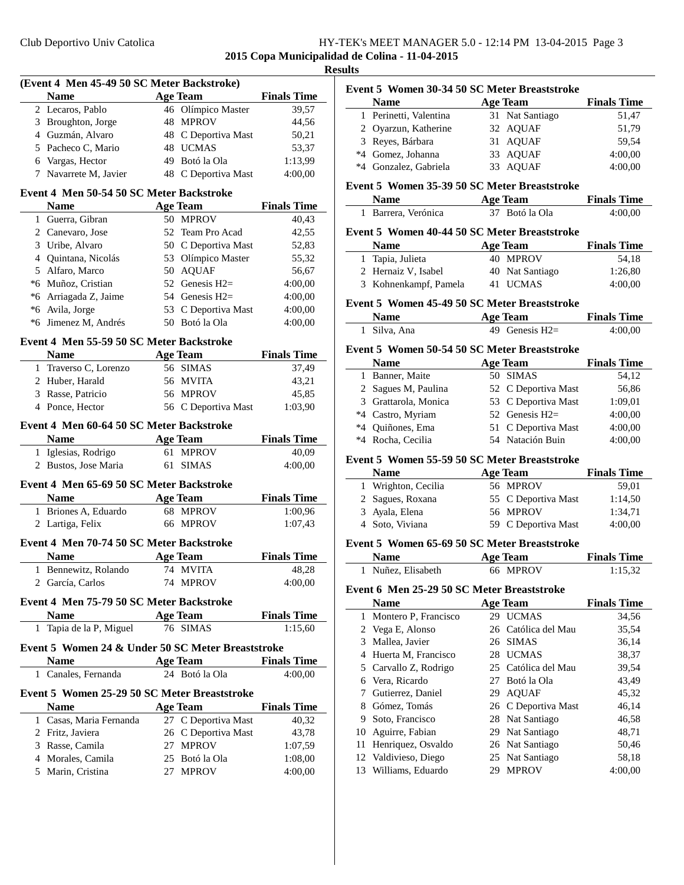## **2015 Copa Municipalidad de Colina - 11-04-2015**

 $\overline{\phantom{a}}$ 

|   | (Event 4 Men 45-49 50 SC Meter Backstroke)        |    |                     |                    |
|---|---------------------------------------------------|----|---------------------|--------------------|
|   | <b>Name</b>                                       |    | <b>Age Team</b>     | <b>Finals Time</b> |
|   | 2 Lecaros, Pablo                                  |    | 46 Olímpico Master  | 39,57              |
|   | 3 Broughton, Jorge                                |    | 48 MPROV            | 44,56              |
|   | 4 Guzmán, Alvaro                                  |    | 48 C Deportiva Mast | 50,21              |
|   | 5 Pacheco C, Mario                                |    | 48 UCMAS            | 53,37              |
|   | 6 Vargas, Hector                                  |    | 49 Botó la Ola      | 1:13,99            |
| 7 | Navarrete M, Javier                               |    | 48 C Deportiva Mast | 4:00,00            |
|   | Event 4 Men 50-54 50 SC Meter Backstroke          |    |                     |                    |
|   | <b>Name</b>                                       |    | <b>Age Team</b>     | <b>Finals Time</b> |
| 1 | Guerra, Gibran                                    |    | 50 MPROV            | 40,43              |
|   | 2 Canevaro, Jose                                  |    | 52 Team Pro Acad    | 42,55              |
|   | 3 Uribe, Alvaro                                   |    | 50 C Deportiva Mast | 52,83              |
|   | 4 Quintana, Nicolás                               |    | 53 Olímpico Master  | 55,32              |
|   | 5 Alfaro, Marco                                   |    | 50 AQUAF            | 56,67              |
|   | *6 Muñoz, Cristian                                |    | 52 Genesis H2=      | 4:00,00            |
|   |                                                   |    |                     |                    |
|   | *6 Arriagada Z, Jaime                             |    | 54 Genesis H2=      | 4:00,00            |
|   | *6 Avila, Jorge                                   |    | 53 C Deportiva Mast | 4:00,00            |
|   | *6 Jimenez M, Andrés                              | 50 | Botó la Ola         | 4:00,00            |
|   | Event 4 Men 55-59 50 SC Meter Backstroke          |    |                     |                    |
|   | <b>Name</b>                                       |    | <b>Age Team</b>     | <b>Finals Time</b> |
|   | 1 Traverso C, Lorenzo                             |    | 56 SIMAS            | 37,49              |
|   | 2 Huber, Harald                                   |    | 56 MVITA            | 43,21              |
|   | 3 Rasse, Patricio                                 |    | 56 MPROV            | 45,85              |
|   | 4 Ponce, Hector                                   |    | 56 C Deportiva Mast | 1:03,90            |
|   | Event 4 Men 60-64 50 SC Meter Backstroke          |    |                     |                    |
|   | <b>Name</b>                                       |    | <b>Age Team</b>     | <b>Finals Time</b> |
|   | 1 Iglesias, Rodrigo                               |    | 61 MPROV            | 40,09              |
|   | 2 Bustos, Jose Maria                              | 61 | <b>SIMAS</b>        | 4:00,00            |
|   | Event 4 Men 65-69 50 SC Meter Backstroke          |    |                     |                    |
|   | <b>Name</b>                                       |    | <b>Age Team</b>     | <b>Finals Time</b> |
|   | 1 Briones A, Eduardo                              |    | 68 MPROV            | 1:00,96            |
|   | 2 Lartiga, Felix                                  |    | 66 MPROV            | 1:07,43            |
|   | Event 4 Men 70-74 50 SC Meter Backstroke          |    |                     |                    |
|   | <b>Name</b>                                       |    | <b>Age Team</b>     | <b>Finals Time</b> |
|   | 1 Bennewitz, Rolando                              |    | 74 MVITA            | 48,28              |
|   | 2 García, Carlos                                  |    | 74 MPROV            | 4:00,00            |
|   |                                                   |    |                     |                    |
|   | Event 4 Men 75-79 50 SC Meter Backstroke          |    |                     |                    |
|   | <b>Name</b>                                       |    | <b>Age Team</b>     | <b>Finals Time</b> |
| 1 | Tapia de la P, Miguel                             |    | 76 SIMAS            | 1:15,60            |
|   | Event 5 Women 24 & Under 50 SC Meter Breaststroke |    |                     |                    |
|   | Name                                              |    | <b>Age Team</b>     | <b>Finals Time</b> |
|   | 1 Canales, Fernanda                               |    | 24 Botó la Ola      | 4:00,00            |
|   | Event 5 Women 25-29 50 SC Meter Breaststroke      |    |                     |                    |
|   | <b>Name</b>                                       |    | <b>Age Team</b>     | <b>Finals Time</b> |
|   | 1 Casas, Maria Fernanda                           |    | 27 C Deportiva Mast | 40,32              |
|   | 2 Fritz, Javiera                                  |    | 26 C Deportiva Mast | 43,78              |
|   | 3 Rasse, Camila                                   |    | 27 MPROV            | 1:07,59            |
|   | 4 Morales, Camila                                 |    | 25 Botó la Ola      | 1:08,00            |
|   | 5 Marin, Cristina                                 |    | 27 MPROV            | 4:00,00            |
|   |                                                   |    |                     |                    |

| <b>Results</b> |  |  |  |  |  |
|----------------|--|--|--|--|--|
|                |  |  |  |  |  |

| Event 5 Women 30-34 50 SC Meter Breaststroke<br><b>Name</b> | <b>Age Team</b> |                 | <b>Finals Time</b> |
|-------------------------------------------------------------|-----------------|-----------------|--------------------|
| 1 Perinetti, Valentina                                      |                 | 31 Nat Santiago | 51,47              |
| 2 Oyarzun, Katherine                                        |                 | 32 AQUAF        | 51,79              |
| 3 Reyes, Bárbara                                            |                 | 31 AQUAF        | 59.54              |
| *4 Gomez, Johanna                                           |                 | 33 AQUAF        | 4:00,00            |
| *4 Gonzalez, Gabriela                                       |                 | 33 AOUAF        | 4:00,00            |
| Event 5 Women 35-39 50 SC Meter Breaststroke                |                 |                 |                    |

# **Event 5 Women 35-39 50 SC Meter Breaststroke**

| <b>Name</b>         | Age Team                                                 | <b>Finals Time</b> |
|---------------------|----------------------------------------------------------|--------------------|
| 1 Barrera, Verónica | 37 Botó la Ola                                           | 4:00,00            |
| <b>Name</b>         | Event 5 Women 40-44 50 SC Meter Breaststroke<br>Age Team | <b>Finals Time</b> |
|                     |                                                          |                    |

| ivame                 | Age ream        | <b>Finals Time</b> |
|-----------------------|-----------------|--------------------|
| 1 Tapia, Julieta      | 40 MPROV        | 54.18              |
| 2 Hernaiz V, Isabel   | 40 Nat Santiago | 1:26.80            |
| 3 Kohnenkampf, Pamela | 41 UCMAS        | 4:00.00            |

#### **Event 5 Women 45-49 50 SC Meter Breaststroke**

| Name         | <b>Age Team</b>  | <b>Finals Time</b> |
|--------------|------------------|--------------------|
| 1 Silva, Ana | 49 Genesis $H2=$ | 4:00.00            |

### **Event 5 Women 50-54 50 SC Meter Breaststroke**

|    | <b>Name</b>          | <b>Age Team</b>     | <b>Finals Time</b> |
|----|----------------------|---------------------|--------------------|
| 1. | Banner, Maite        | 50 SIMAS            | 54,12              |
|    | 2 Sagues M, Paulina  | 52 C Deportiva Mast | 56,86              |
|    | 3 Grattarola, Monica | 53 C Deportiva Mast | 1:09.01            |
|    | *4 Castro, Myriam    | 52 Genesis $H2=$    | 4:00,00            |
|    | *4 Ouiñones, Ema     | 51 C Deportiva Mast | 4:00,00            |
|    | *4 Rocha, Cecilia    | 54 Natación Buin    | 4:00,00            |

### **Event 5 Women 55-59 50 SC Meter Breaststroke**

| <b>Name</b>         | Age Team            | <b>Finals Time</b> |
|---------------------|---------------------|--------------------|
| 1 Wrighton, Cecilia | 56 MPROV            | 59,01              |
| 2 Sagues, Roxana    | 55 C Deportiva Mast | 1:14,50            |
| 3 Ayala, Elena      | 56 MPROV            | 1:34.71            |
| 4 Soto, Viviana     | 59 C Deportiva Mast | 4:00,00            |

### **Event 5 Women 65-69 50 SC Meter Breaststroke**

| <b>Name</b>        | <b>Age Team</b> | <b>Finals Time</b> |
|--------------------|-----------------|--------------------|
| 1 Nuñez, Elisabeth | 66 MPROV        | 1:15,32            |

## **Event 6 Men 25-29 50 SC Meter Breaststroke**

|    | <b>Name</b>            |     | <b>Age Team</b>     | <b>Finals Time</b> |
|----|------------------------|-----|---------------------|--------------------|
|    | 1 Montero P, Francisco | 29  | <b>UCMAS</b>        | 34,56              |
|    | 2 Vega E, Alonso       |     | 26 Católica del Mau | 35,54              |
| 3  | Mallea, Javier         | 26  | <b>SIMAS</b>        | 36,14              |
|    | Huerta M, Francisco    | 28. | <b>UCMAS</b>        | 38,37              |
|    | 5 Carvallo Z, Rodrigo  |     | 25 Católica del Mau | 39,54              |
| 6  | Vera, Ricardo          | 27  | Botó la Ola         | 43,49              |
|    | Gutierrez, Daniel      |     | 29 AOUAF            | 45,32              |
| 8  | Gómez, Tomás           |     | 26 C Deportiva Mast | 46,14              |
| 9. | Soto, Francisco        |     | 28 Nat Santiago     | 46,58              |
| 10 | Aguirre, Fabian        |     | 29 Nat Santiago     | 48,71              |
| 11 | Henriquez, Osvaldo     |     | 26 Nat Santiago     | 50,46              |
|    | 12 Valdivieso, Diego   |     | 25 Nat Santiago     | 58,18              |
|    | 13 Williams, Eduardo   |     | 29 MPROV            | 4:00,00            |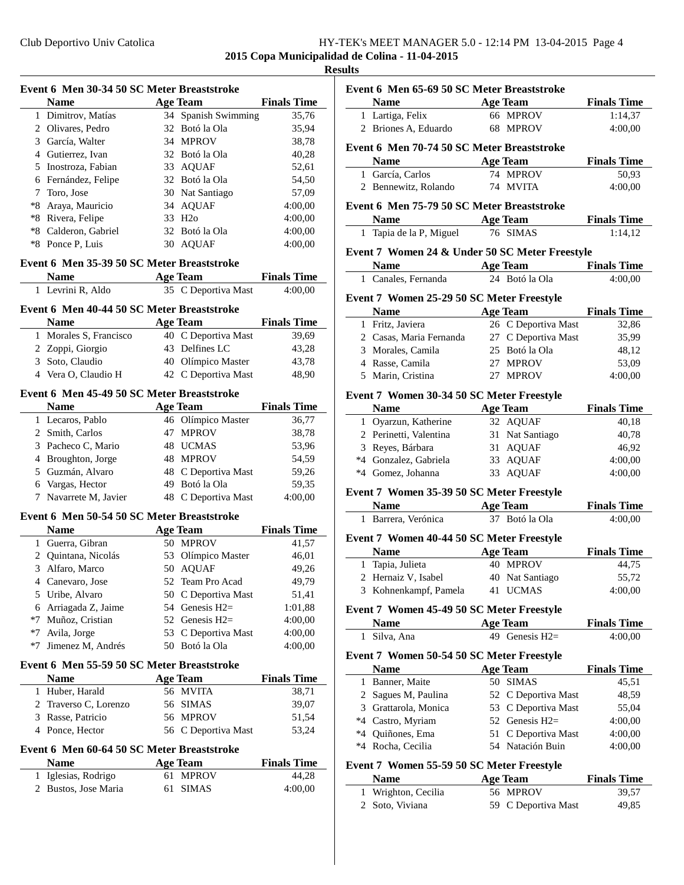## Club Deportivo Univ Catolica HY-TEK's MEET MANAGER 5.0 - 12:14 PM 13-04-2015 Page 4 **2015 Copa Municipalidad de Colina - 11-04-2015**

## **Results**

|              | Event 6 Men 30-34 50 SC Meter Breaststroke |    |                     |                    |
|--------------|--------------------------------------------|----|---------------------|--------------------|
|              | <b>Name</b>                                |    | <b>Age Team</b>     | <b>Finals Time</b> |
| 1            | Dimitrov, Matías                           |    | 34 Spanish Swimming | 35,76              |
|              | 2 Olivares, Pedro                          |    | 32 Botó la Ola      | 35,94              |
|              | 3 García, Walter                           |    | 34 MPROV            | 38,78              |
|              | 4 Gutierrez, Ivan                          |    | 32 Botó la Ola      | 40,28              |
|              | 5 Inostroza, Fabian                        |    | 33 AQUAF            | 52,61              |
|              | 6 Fernández, Felipe                        |    | 32 Botó la Ola      | 54,50              |
| 7            | Toro, Jose                                 |    | 30 Nat Santiago     | 57,09              |
| $*8$         | Araya, Mauricio                            |    | 34 AQUAF            | 4:00,00            |
| *8           | Rivera, Felipe                             |    | 33 H <sub>2</sub> o | 4:00,00            |
| *8           | Calderon, Gabriel                          | 32 | Botó la Ola         | 4:00,00            |
| *8           | Ponce P, Luis                              | 30 | <b>AQUAF</b>        | 4:00,00            |
|              |                                            |    |                     |                    |
|              | Event 6 Men 35-39 50 SC Meter Breaststroke |    |                     |                    |
|              | <b>Name</b>                                |    | <b>Age Team</b>     | <b>Finals Time</b> |
| 1            | Levrini R, Aldo                            |    | 35 C Deportiva Mast | 4:00,00            |
|              | Event 6 Men 40-44 50 SC Meter Breaststroke |    |                     |                    |
|              | <b>Name</b>                                |    | <b>Age Team</b>     | <b>Finals Time</b> |
| 1            | Morales S, Francisco                       |    | 40 C Deportiva Mast | 39,69              |
|              | 2 Zoppi, Giorgio                           |    | 43 Delfines LC      | 43,28              |
|              | 3 Soto, Claudio                            |    | 40 Olímpico Master  | 43,78              |
|              | 4 Vera O, Claudio H                        |    | 42 C Deportiva Mast | 48,90              |
|              |                                            |    |                     |                    |
|              | Event 6 Men 45-49 50 SC Meter Breaststroke |    |                     |                    |
|              | <b>Name</b>                                |    | <b>Age Team</b>     | <b>Finals Time</b> |
|              | 1 Lecaros, Pablo                           |    | 46 Olímpico Master  | 36,77              |
|              | 2 Smith, Carlos                            |    | 47 MPROV            | 38,78              |
|              | 3 Pacheco C, Mario                         |    | 48 UCMAS            | 53,96              |
|              | 4 Broughton, Jorge                         |    | 48 MPROV            | 54,59              |
|              | 5 Guzmán, Alvaro                           |    | 48 C Deportiva Mast | 59,26              |
|              | 6 Vargas, Hector                           |    | 49 Botó la Ola      | 59,35              |
| 7            | Navarrete M, Javier                        |    | 48 C Deportiva Mast | 4:00,00            |
|              | Event 6 Men 50-54 50 SC Meter Breaststroke |    |                     |                    |
|              | <b>Name</b>                                |    | <b>Age Team</b>     | <b>Finals Time</b> |
|              | 1 Guerra, Gibran                           |    | 50 MPROV            | 41,57              |
| 2            | Quintana, Nicolás                          | 53 | Olímpico Master     | 46,01              |
| 3            | Alfaro, Marco                              | 50 | <b>AQUAF</b>        | 49,26              |
| 4            | Canevaro, Jose                             | 52 | Team Pro Acad       | 49,79              |
| 5            | Uribe, Alvaro                              | 50 | C Deportiva Mast    | 51,41              |
| 6            | Arriagada Z, Jaime                         |    | 54 Genesis $H2=$    | 1:01,88            |
| *7           | Muñoz, Cristian                            |    | 52 Genesis H2=      | 4:00,00            |
| $*7$         | Avila, Jorge                               | 53 | C Deportiva Mast    | 4:00,00            |
| *7           | Jimenez M, Andrés                          | 50 | Botó la Ola         | 4:00,00            |
|              |                                            |    |                     |                    |
|              | Event 6 Men 55-59 50 SC Meter Breaststroke |    |                     |                    |
|              | <b>Name</b>                                |    | <b>Age Team</b>     | <b>Finals Time</b> |
| 1            | Huber, Harald                              |    | 56 MVITA            | 38,71              |
| 2            | Traverso C, Lorenzo                        | 56 | <b>SIMAS</b>        | 39,07              |
| 3            | Rasse, Patricio                            | 56 | <b>MPROV</b>        | 51,54              |
|              | 4 Ponce, Hector                            |    | 56 C Deportiva Mast | 53,24              |
|              | Event 6 Men 60-64 50 SC Meter Breaststroke |    |                     |                    |
|              | <b>Name</b>                                |    | <b>Age Team</b>     | <b>Finals Time</b> |
| $\mathbf{1}$ | Iglesias, Rodrigo                          | 61 | <b>MPROV</b>        | 44,28              |
|              | 2 Bustos, Jose Maria                       | 61 | <b>SIMAS</b>        | 4:00,00            |
|              |                                            |    |                     |                    |
|              |                                            |    |                     |                    |

| Event 6 Men 65-69 50 SC Meter Breaststroke |                                                |                 |                            |                               |
|--------------------------------------------|------------------------------------------------|-----------------|----------------------------|-------------------------------|
|                                            | <b>Name</b>                                    | <b>Age Team</b> |                            | <b>Finals Time</b>            |
|                                            | 1 Lartiga, Felix                               |                 | 66 MPROV                   | 1:14,37                       |
|                                            | 2 Briones A, Eduardo                           |                 | 68 MPROV                   | 4:00,00                       |
|                                            |                                                |                 |                            |                               |
|                                            | Event 6 Men 70-74 50 SC Meter Breaststroke     |                 |                            |                               |
|                                            | <b>Name</b>                                    |                 | <b>Age Team</b>            | <b>Finals Time</b>            |
|                                            | 1 García, Carlos                               |                 | 74 MPROV                   | 50,93                         |
|                                            | 2 Bennewitz, Rolando                           |                 | 74 MVITA                   | 4:00,00                       |
|                                            | Event 6 Men 75-79 50 SC Meter Breaststroke     |                 |                            |                               |
|                                            | <b>Name</b><br><b>Example 3 Age Team</b>       |                 |                            | <b>Finals Time</b>            |
|                                            | 1 Tapia de la P, Miguel                        |                 | 76 SIMAS                   | 1:14,12                       |
|                                            | Event 7 Women 24 & Under 50 SC Meter Freestyle |                 |                            |                               |
|                                            | Name                                           |                 | Age Team                   | <b>Finals Time</b>            |
|                                            | 1 Canales, Fernanda                            |                 | 24 Botó la Ola             | 4:00,00                       |
|                                            |                                                |                 |                            |                               |
|                                            | Event 7 Women 25-29 50 SC Meter Freestyle      |                 |                            |                               |
|                                            | <b>Name</b>                                    |                 | <b>Age Team</b>            | <b>Finals Time</b>            |
|                                            | 1 Fritz, Javiera                               |                 | 26 C Deportiva Mast        | 32,86                         |
|                                            | 2 Casas, Maria Fernanda                        |                 | 27 C Deportiva Mast        | 35,99                         |
|                                            | 3 Morales, Camila                              |                 | 25 Botó la Ola             | 48,12                         |
|                                            | 4 Rasse, Camila                                |                 | 27 MPROV                   | 53,09                         |
|                                            | 5 Marin, Cristina                              |                 | 27 MPROV                   | 4:00,00                       |
|                                            | Event 7 Women 30-34 50 SC Meter Freestyle      |                 |                            |                               |
|                                            | <b>Name</b>                                    |                 | <b>Age Team</b>            | <b>Finals Time</b>            |
|                                            | 1 Oyarzun, Katherine                           |                 | 32 AQUAF                   | 40,18                         |
|                                            | 2 Perinetti, Valentina                         |                 | 31 Nat Santiago            | 40,78                         |
|                                            | 3 Reyes, Bárbara                               |                 | 31 AQUAF                   | 46,92                         |
|                                            | *4 Gonzalez, Gabriela                          |                 | 33 AQUAF                   | 4:00,00                       |
|                                            | *4 Gomez, Johanna                              |                 | 33 AQUAF                   | 4:00,00                       |
|                                            |                                                |                 |                            |                               |
|                                            | Event 7 Women 35-39 50 SC Meter Freestyle      |                 |                            |                               |
|                                            | <b>Name</b><br>1 Barrera, Verónica             |                 | Age Team<br>37 Botó la Ola | <b>Finals Time</b><br>4:00,00 |
|                                            |                                                |                 |                            |                               |
|                                            | Event 7 Women 40-44 50 SC Meter Freestyle      |                 |                            |                               |
|                                            | <b>Name</b>                                    |                 | <b>Age Team</b>            | <b>Finals Time</b>            |
|                                            | 1 Tapia, Julieta                               |                 | 40 MPROV                   | 44,75                         |
|                                            | 2 Hernaiz V, Isabel                            |                 | 40 Nat Santiago            | 55,72                         |
|                                            | 3 Kohnenkampf, Pamela                          |                 | 41 UCMAS                   | 4:00,00                       |
|                                            | Event 7 Women 45-49 50 SC Meter Freestyle      |                 |                            |                               |
|                                            | Name                                           |                 | <b>Age Team</b>            | <b>Finals Time</b>            |
| 1                                          | Silva, Ana                                     |                 | 49 Genesis $H2=$           | 4:00,00                       |
|                                            | Event 7 Women 50-54 50 SC Meter Freestyle      |                 |                            |                               |
|                                            | <b>Name</b>                                    |                 | <b>Age Team</b>            | <b>Finals Time</b>            |
|                                            | 1 Banner, Maite                                | 50              | <b>SIMAS</b>               | 45,51                         |
|                                            | 2 Sagues M, Paulina                            | 52              | C Deportiva Mast           | 48,59                         |
|                                            | 3 Grattarola, Monica                           | 53              | C Deportiva Mast           | 55,04                         |
|                                            | *4 Castro, Myriam                              | 52              | Genesis $H2=$              | 4:00,00                       |
|                                            | *4 Quiñones, Ema                               | 51              | C Deportiva Mast           | 4:00,00                       |
|                                            | *4 Rocha, Cecilia                              |                 | 54 Natación Buin           | 4:00,00                       |
|                                            |                                                |                 |                            |                               |
|                                            | Event 7 Women 55-59 50 SC Meter Freestyle      |                 |                            |                               |
|                                            | <b>Name</b>                                    |                 | <b>Age Team</b>            | <b>Finals Time</b>            |
| 1                                          | Wrighton, Cecilia                              |                 | 56 MPROV                   | 39,57                         |
|                                            | 2 Soto, Viviana                                |                 | 59 C Deportiva Mast        | 49,85                         |
|                                            |                                                |                 |                            |                               |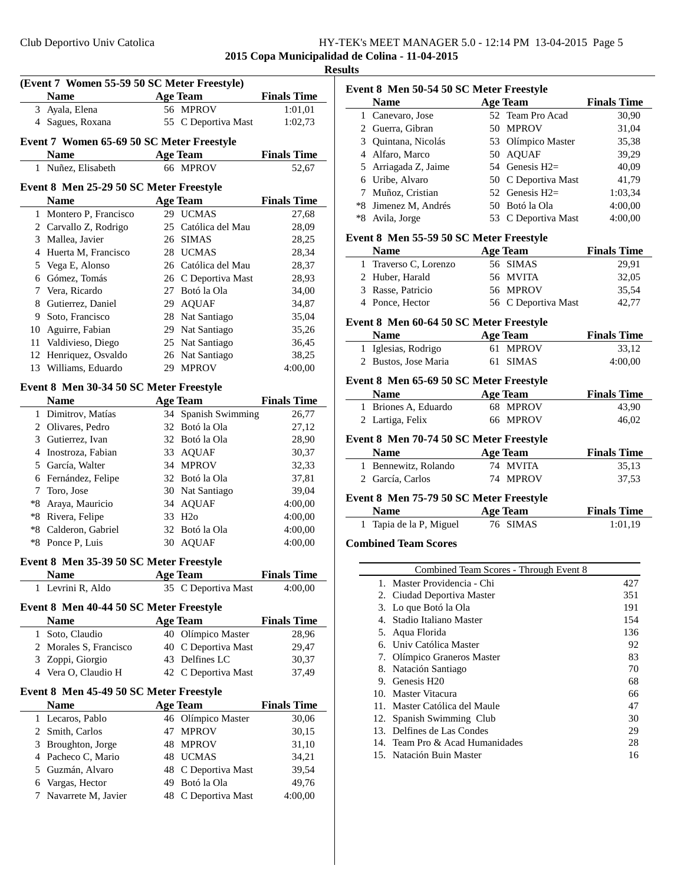**2015 Copa Municipalidad de Colina - 11-04-2015**

|              | (Event 7 Women 55-59 50 SC Meter Freestyle)<br><b>Name</b> | <b>Age Team</b> |                     | <b>Finals Time</b> |
|--------------|------------------------------------------------------------|-----------------|---------------------|--------------------|
|              | 3 Ayala, Elena                                             |                 | 56 MPROV            | 1:01,01            |
|              | 4 Sagues, Roxana                                           |                 | 55 C Deportiva Mast | 1:02,73            |
|              |                                                            |                 |                     |                    |
|              | Event 7 Women 65-69 50 SC Meter Freestyle                  |                 |                     |                    |
|              | <b>Name</b>                                                |                 | <b>Age Team</b>     | <b>Finals Time</b> |
|              | 1 Nuñez, Elisabeth                                         |                 | 66 MPROV            | 52,67              |
|              | Event 8 Men 25-29 50 SC Meter Freestyle                    |                 |                     |                    |
|              | <b>Name</b>                                                |                 | <b>Age Team</b>     | <b>Finals Time</b> |
|              | 1 Montero P, Francisco                                     |                 | 29 UCMAS            | 27,68              |
|              | 2 Carvallo Z, Rodrigo                                      |                 | 25 Católica del Mau | 28,09              |
|              | 3 Mallea, Javier                                           |                 | 26 SIMAS            | 28,25              |
|              | 4 Huerta M, Francisco                                      |                 | 28 UCMAS            | 28,34              |
|              | 5 Vega E, Alonso                                           |                 | 26 Católica del Mau | 28,37              |
|              | 6 Gómez, Tomás                                             |                 | 26 C Deportiva Mast | 28,93              |
|              | 7 Vera, Ricardo                                            |                 | 27 Botó la Ola      | 34,00              |
|              | 8 Gutierrez, Daniel                                        |                 | 29 AQUAF            | 34,87              |
|              | 9 Soto, Francisco                                          |                 | 28 Nat Santiago     | 35,04              |
|              | 10 Aguirre, Fabian                                         |                 | 29 Nat Santiago     | 35,26              |
|              | 11 Valdivieso, Diego                                       |                 | 25 Nat Santiago     | 36,45              |
|              | 12 Henriquez, Osvaldo                                      |                 | 26 Nat Santiago     | 38,25              |
|              | 13 Williams, Eduardo                                       |                 | 29 MPROV            | 4:00,00            |
|              | Event 8 Men 30-34 50 SC Meter Freestyle                    |                 |                     |                    |
|              | <b>Name</b>                                                |                 | <b>Age Team</b>     | <b>Finals Time</b> |
|              | 1 Dimitrov, Matías                                         |                 | 34 Spanish Swimming | 26,77              |
|              | 2 Olivares, Pedro                                          |                 | 32 Botó la Ola      | 27,12              |
|              | 3 Gutierrez, Ivan                                          |                 | 32 Botó la Ola      | 28,90              |
|              | 4 Inostroza, Fabian                                        |                 | 33 AQUAF            | 30,37              |
|              | 5 García, Walter                                           |                 | 34 MPROV            | 32,33              |
|              | 6 Fernández, Felipe                                        |                 | 32 Botó la Ola      | 37,81              |
| $7^{\circ}$  | Toro, Jose                                                 |                 | 30 Nat Santiago     | 39,04              |
|              | *8 Araya, Mauricio                                         |                 | 34 AQUAF            | 4:00,00            |
|              | *8 Rivera, Felipe                                          |                 | 33 H <sub>2</sub> o | 4:00,00            |
|              | *8 Calderon, Gabriel                                       |                 | 32 Botó la Ola      | 4:00,00            |
|              | *8 Ponce P, Luis                                           |                 | 30 AQUAF            | 4:00,00            |
|              | Event 8 Men 35-39 50 SC Meter Freestyle                    |                 |                     |                    |
|              | <b>Name</b>                                                |                 | <b>Age Team</b>     | <b>Finals Time</b> |
|              | 1 Levrini R, Aldo                                          |                 | 35 C Deportiva Mast | 4:00,00            |
|              |                                                            |                 |                     |                    |
|              | Event 8 Men 40-44 50 SC Meter Freestyle                    |                 |                     |                    |
|              | <b>Name</b>                                                |                 | <b>Age Team</b>     | <b>Finals Time</b> |
| $\mathbf{1}$ | Soto, Claudio                                              |                 | 40 Olímpico Master  | 28,96              |
|              | 2 Morales S, Francisco                                     |                 | 40 C Deportiva Mast | 29,47              |
|              | 3 Zoppi, Giorgio                                           |                 | 43 Delfines LC      | 30,37              |
|              | 4 Vera O, Claudio H                                        |                 | 42 C Deportiva Mast | 37,49              |
|              | Event 8 Men 45-49 50 SC Meter Freestyle                    |                 |                     |                    |
|              | <b>Name</b>                                                |                 | <b>Age Team</b>     | <b>Finals Time</b> |
|              | 1 Lecaros, Pablo                                           |                 | 46 Olímpico Master  | 30,06              |
|              |                                                            |                 |                     | 30,15              |
|              | 2 Smith, Carlos                                            |                 | 47 MPROV            |                    |
|              | 3 Broughton, Jorge                                         |                 | 48 MPROV            | 31,10              |
|              | 4 Pacheco C, Mario                                         |                 | 48 UCMAS            | 34,21              |
|              | 5 Guzmán, Alvaro                                           |                 | 48 C Deportiva Mast | 39,54              |
|              | 6 Vargas, Hector                                           |                 | 49 Botó la Ola      | 49,76              |

|      | <b>Name</b>                             |    | <b>Age Team</b>     | <b>Finals Time</b> |
|------|-----------------------------------------|----|---------------------|--------------------|
|      | 1 Canevaro, Jose                        | 52 | Team Pro Acad       | 30,90              |
|      | 2 Guerra, Gibran                        |    | 50 MPROV            | 31,04              |
|      | 3 Quintana, Nicolás                     |    | 53 Olímpico Master  | 35,38              |
|      | 4 Alfaro, Marco                         |    | 50 AQUAF            | 39,29              |
| 5    | Arriagada Z, Jaime                      |    | 54 Genesis H2=      | 40,09              |
|      | 6 Uribe, Alvaro                         |    | 50 C Deportiva Mast | 41,79              |
| 7    | Muñoz, Cristian                         |    | 52 Genesis $H2=$    | 1:03,34            |
| $*8$ | Jimenez M, Andrés                       |    | 50 Botó la Ola      | 4:00,00            |
| $*8$ | Avila, Jorge                            |    | 53 C Deportiva Mast | 4:00,00            |
|      | Event 8 Men 55-59 50 SC Meter Freestyle |    |                     |                    |
|      | <b>Name</b>                             |    | <b>Age Team</b>     | <b>Finals Time</b> |
|      | 1 Traverso C, Lorenzo                   |    | 56 SIMAS            | 29,91              |
|      | 2 Huber, Harald                         |    | 56 MVITA            | 32,05              |
|      | 3 Rasse, Patricio                       |    | 56 MPROV            | 35,54              |
|      | 4 Ponce, Hector                         |    | 56 C Deportiva Mast | 42,77              |
|      | Event 8 Men 60-64 50 SC Meter Freestyle |    |                     |                    |
|      | <b>Name</b>                             |    | <b>Age Team</b>     | <b>Finals Time</b> |
|      | 1 Iglesias, Rodrigo                     |    | 61 MPROV            | 33,12              |
|      | 2 Bustos, Jose Maria                    |    | 61 SIMAS            | 4:00,00            |
|      | Event 8 Men 65-69 50 SC Meter Freestyle |    |                     |                    |
|      | <b>Name</b>                             |    | <b>Age Team</b>     | <b>Finals Time</b> |
|      | 1 Briones A, Eduardo                    |    | 68 MPROV            | 43,90              |
|      | 2 Lartiga, Felix                        |    | 66 MPROV            | 46,02              |
|      | Event 8 Men 70-74 50 SC Meter Freestyle |    |                     |                    |
|      | <b>Name</b>                             |    | <b>Age Team</b>     | <b>Finals Time</b> |
|      | 1 Bennewitz, Rolando                    |    | 74 MVITA            | 35,13              |
| 2    | García, Carlos                          |    | 74 MPROV            | 37,53              |
|      | Event 8 Men 75-79 50 SC Meter Freestyle |    |                     |                    |
|      | <b>Name</b>                             |    | <b>Age Team</b>     | <b>Finals Time</b> |
|      |                                         |    |                     |                    |
|      | 1 Tapia de la P, Miguel                 |    | 76 SIMAS            | 1:01.19            |

### **Combined Team Scores**

|        | Combined Team Scores - Through Event 8 |     |
|--------|----------------------------------------|-----|
| 1.     | Master Providencia - Chi               | 427 |
|        | 2. Ciudad Deportiva Master             | 351 |
|        | 3. Lo que Botó la Ola                  | 191 |
| 4      | Stadio Italiano Master                 | 154 |
|        | 5. Aqua Florida                        | 136 |
|        | 6. Univ Católica Master                | 92  |
|        | 7. Olímpico Graneros Master            | 83  |
|        | 8. Natación Santiago                   | 70  |
|        | 9. Genesis H <sub>20</sub>             | 68  |
|        | 10. Master Vitacura                    | 66  |
| $11 -$ | Master Católica del Maule              | 47  |
|        | 12. Spanish Swimming Club              | 30  |
|        | 13. Delfines de Las Condes             | 29  |
|        | 14. Team Pro & Acad Humanidades        | 28  |
|        | 15. Natación Buin Master               | 16  |